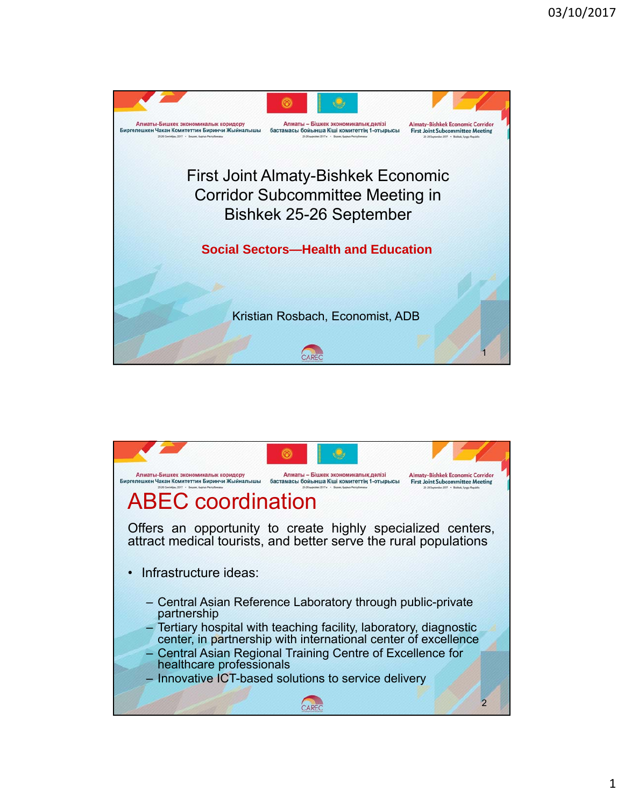

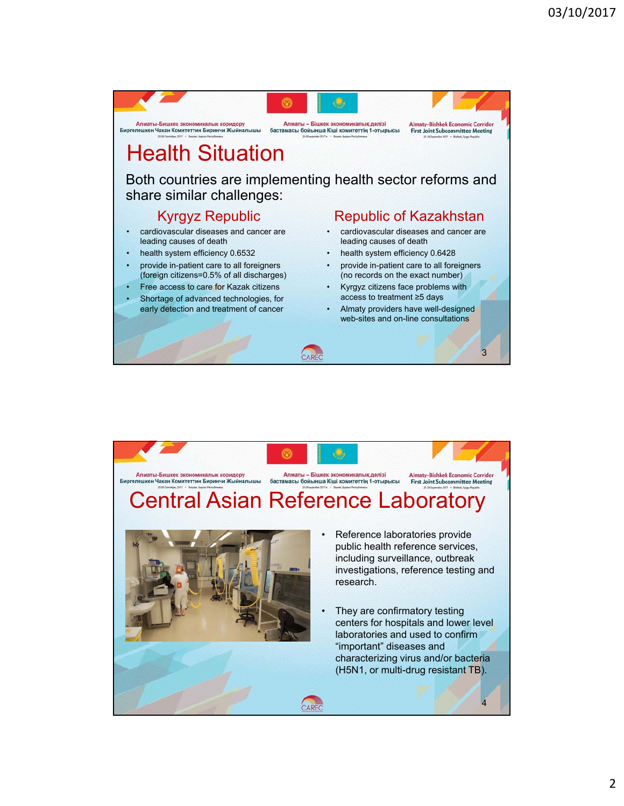

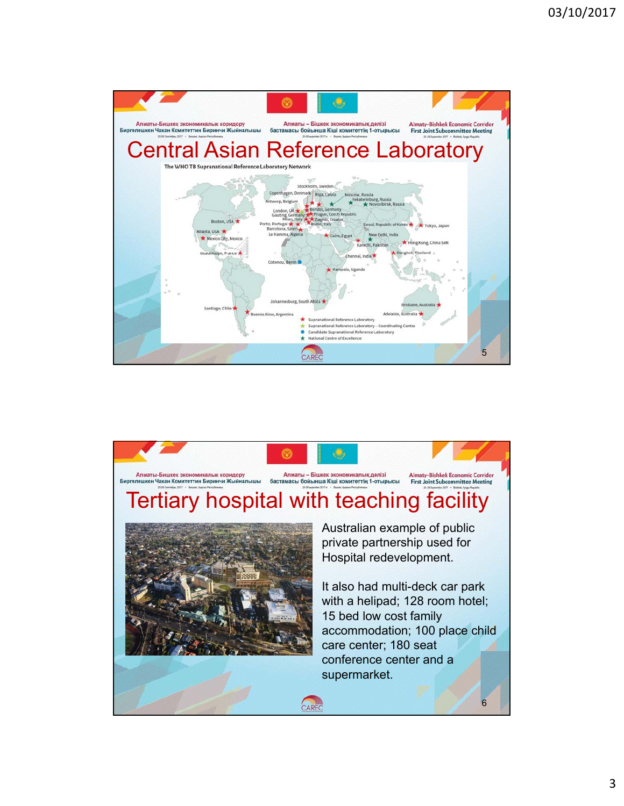

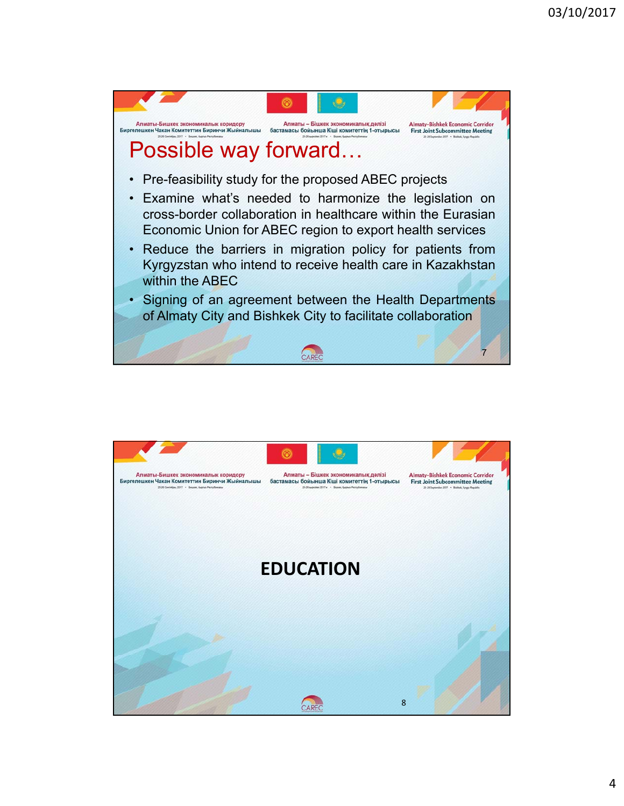

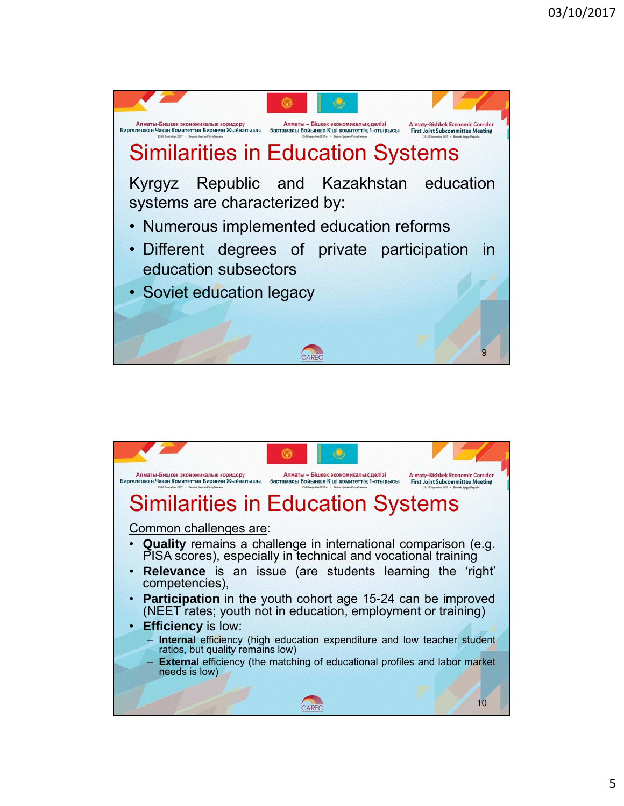

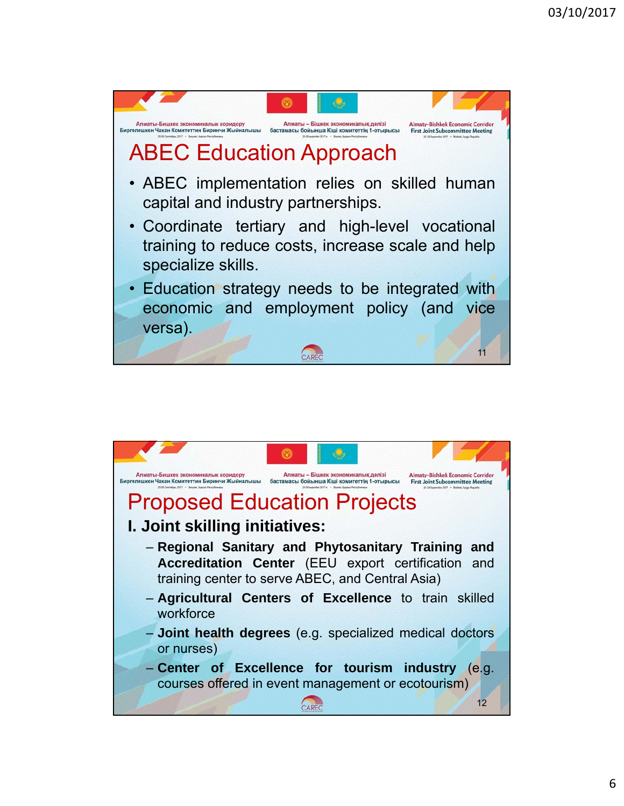

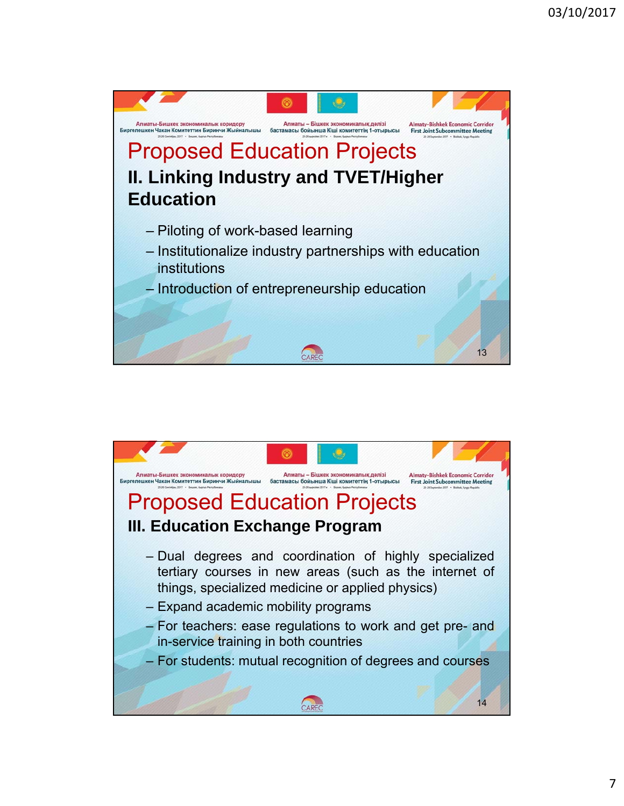